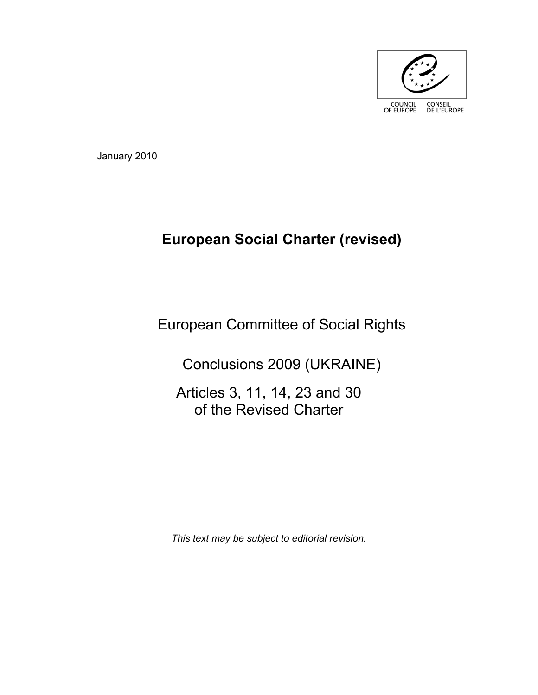

January 2010

# **European Social Charter (revised)**

# European Committee of Social Rights

Conclusions 2009 (UKRAINE)

Articles 3, 11, 14, 23 and 30 of the Revised Charter

*This text may be subject to editorial revision.*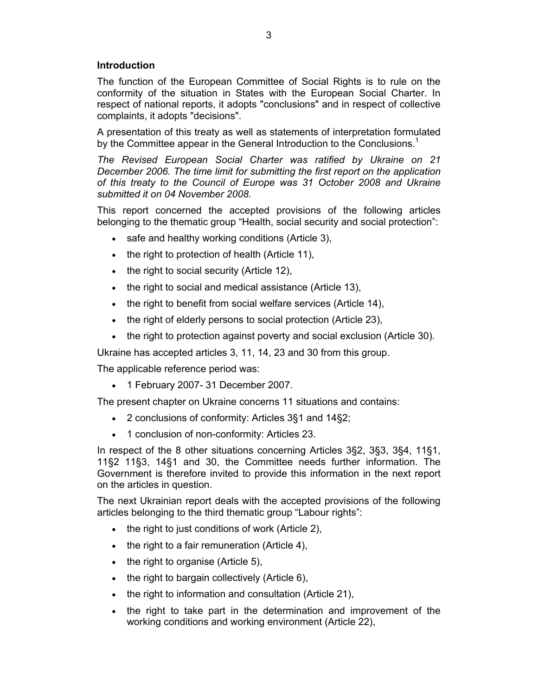# **Introduction**

The function of the European Committee of Social Rights is to rule on the conformity of the situation in States with the European Social Charter. In respect of national reports, it adopts "conclusions" and in respect of collective complaints, it adopts "decisions".

A presentation of this treaty as well as statements of interpretation formulated by the Committee appear in the General Introduction to the Conclusions.<sup>1</sup>

*The Revised European Social Charter was ratified by Ukraine on 21 December 2006. The time limit for submitting the first report on the application of this treaty to the Council of Europe was 31 October 2008 and Ukraine submitted it on 04 November 2008.*

This report concerned the accepted provisions of the following articles belonging to the thematic group "Health, social security and social protection":

- safe and healthy working conditions (Article 3),
- the right to protection of health (Article 11),
- the right to social security (Article 12),
- the right to social and medical assistance (Article 13),
- the right to benefit from social welfare services (Article 14),
- the right of elderly persons to social protection (Article 23),
- the right to protection against poverty and social exclusion (Article 30).

Ukraine has accepted articles 3, 11, 14, 23 and 30 from this group.

The applicable reference period was:

• 1 February 2007- 31 December 2007.

The present chapter on Ukraine concerns 11 situations and contains:

- 2 conclusions of conformity: Articles 3§1 and 14§2;
- 1 conclusion of non-conformity: Articles 23.

In respect of the 8 other situations concerning Articles 3§2, 3§3, 3§4, 11§1, 11§2 11§3, 14§1 and 30, the Committee needs further information. The Government is therefore invited to provide this information in the next report on the articles in question.

The next Ukrainian report deals with the accepted provisions of the following articles belonging to the third thematic group "Labour rights":

- the right to just conditions of work (Article 2),
- the right to a fair remuneration (Article 4),
- the right to organise (Article 5),
- the right to bargain collectively (Article 6),
- the right to information and consultation (Article 21),
- the right to take part in the determination and improvement of the working conditions and working environment (Article 22),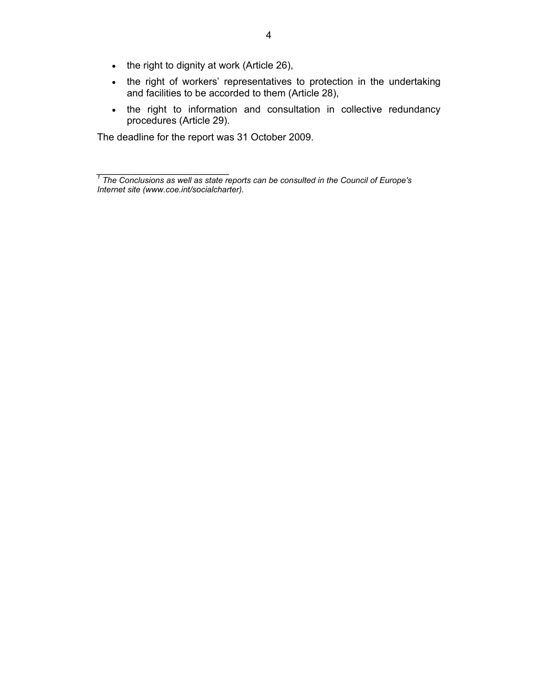- the right to dignity at work (Article 26),
- the right of workers' representatives to protection in the undertaking and facilities to be accorded to them (Article 28),
- the right to information and consultation in collective redundancy procedures (Article 29).

The deadline for the report was 31 October 2009.

*i*<br><sup>1</sup> The Conclusions as well as state reports can be consulted in the Council of Europe's **1** *Internet site (www.coe.int/socialcharter).*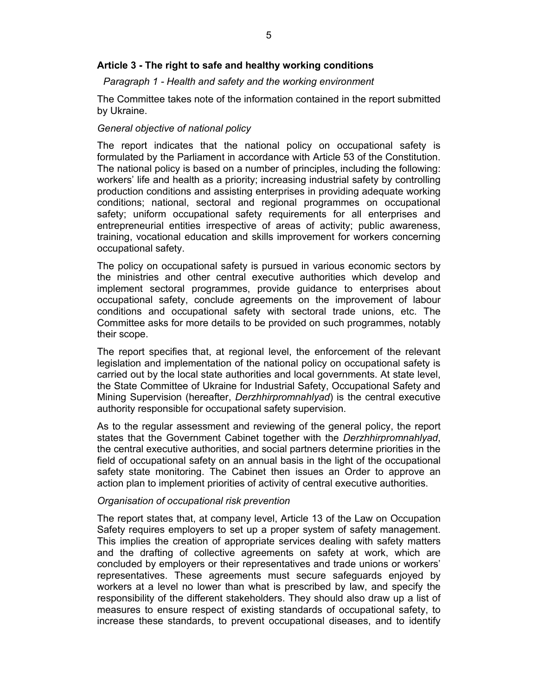# **Article 3 - The right to safe and healthy working conditions**

## *Paragraph 1 - Health and safety and the working environment*

The Committee takes note of the information contained in the report submitted by Ukraine.

## *General objective of national policy*

The report indicates that the national policy on occupational safety is formulated by the Parliament in accordance with Article 53 of the Constitution. The national policy is based on a number of principles, including the following: workers' life and health as a priority; increasing industrial safety by controlling production conditions and assisting enterprises in providing adequate working conditions; national, sectoral and regional programmes on occupational safety; uniform occupational safety requirements for all enterprises and entrepreneurial entities irrespective of areas of activity; public awareness, training, vocational education and skills improvement for workers concerning occupational safety.

The policy on occupational safety is pursued in various economic sectors by the ministries and other central executive authorities which develop and implement sectoral programmes, provide guidance to enterprises about occupational safety, conclude agreements on the improvement of labour conditions and occupational safety with sectoral trade unions, etc. The Committee asks for more details to be provided on such programmes, notably their scope.

The report specifies that, at regional level, the enforcement of the relevant legislation and implementation of the national policy on occupational safety is carried out by the local state authorities and local governments. At state level, the State Committee of Ukraine for Industrial Safety, Occupational Safety and Mining Supervision (hereafter, *Derzhhirpromnahlyad*) is the central executive authority responsible for occupational safety supervision.

As to the regular assessment and reviewing of the general policy, the report states that the Government Cabinet together with the *Derzhhirpromnahlyad*, the central executive authorities, and social partners determine priorities in the field of occupational safety on an annual basis in the light of the occupational safety state monitoring. The Cabinet then issues an Order to approve an action plan to implement priorities of activity of central executive authorities.

#### *Organisation of occupational risk prevention*

The report states that, at company level, Article 13 of the Law on Occupation Safety requires employers to set up a proper system of safety management. This implies the creation of appropriate services dealing with safety matters and the drafting of collective agreements on safety at work, which are concluded by employers or their representatives and trade unions or workers' representatives. These agreements must secure safeguards enjoyed by workers at a level no lower than what is prescribed by law, and specify the responsibility of the different stakeholders. They should also draw up a list of measures to ensure respect of existing standards of occupational safety, to increase these standards, to prevent occupational diseases, and to identify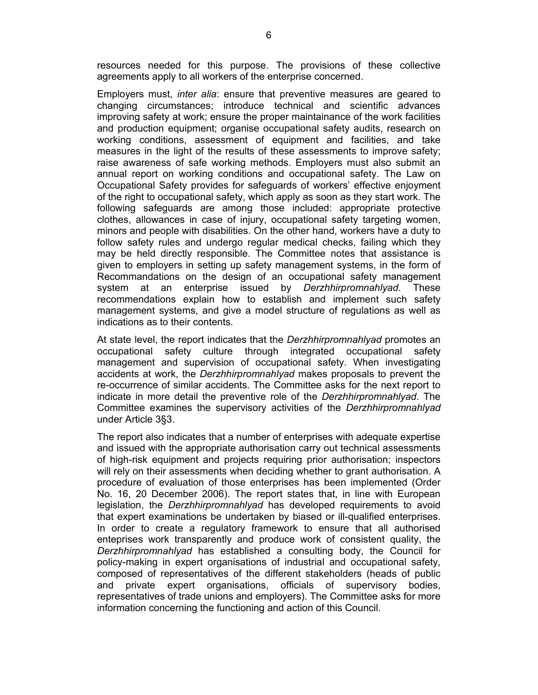resources needed for this purpose. The provisions of these collective agreements apply to all workers of the enterprise concerned.

Employers must, *inter alia*: ensure that preventive measures are geared to changing circumstances; introduce technical and scientific advances improving safety at work; ensure the proper maintainance of the work facilities and production equipment; organise occupational safety audits, research on working conditions, assessment of equipment and facilities, and take measures in the light of the results of these assessments to improve safety; raise awareness of safe working methods. Employers must also submit an annual report on working conditions and occupational safety. The Law on Occupational Safety provides for safeguards of workers' effective enjoyment of the right to occupational safety, which apply as soon as they start work. The following safeguards are among those included: appropriate protective clothes, allowances in case of injury, occupational safety targeting women, minors and people with disabilities. On the other hand, workers have a duty to follow safety rules and undergo regular medical checks, failing which they may be held directly responsible. The Committee notes that assistance is given to employers in setting up safety management systems, in the form of Recommandations on the design of an occupational safety management system at an enterprise issued by *Derzhhirpromnahlyad*. These recommendations explain how to establish and implement such safety management systems, and give a model structure of regulations as well as indications as to their contents.

At state level, the report indicates that the *Derzhhirpromnahlyad* promotes an occupational safety culture through integrated occupational safety management and supervision of occupational safety. When investigating accidents at work, the *Derzhhirpromnahlyad* makes proposals to prevent the re-occurrence of similar accidents. The Committee asks for the next report to indicate in more detail the preventive role of the *Derzhhirpromnahlyad*. The Committee examines the supervisory activities of the *Derzhhirpromnahlyad* under Article 3§3.

The report also indicates that a number of enterprises with adequate expertise and issued with the appropriate authorisation carry out technical assessments of high-risk equipment and projects requiring prior authorisation; inspectors will rely on their assessments when deciding whether to grant authorisation. A procedure of evaluation of those enterprises has been implemented (Order No. 16, 20 December 2006). The report states that, in line with European legislation, the *Derzhhirpromnahlyad* has developed requirements to avoid that expert examinations be undertaken by biased or ill-qualified enterprises. In order to create a regulatory framework to ensure that all authorised enteprises work transparently and produce work of consistent quality, the *Derzhhirpromnahlyad* has established a consulting body, the Council for policy-making in expert organisations of industrial and occupational safety, composed of representatives of the different stakeholders (heads of public and private expert organisations, officials of supervisory bodies, representatives of trade unions and employers). The Committee asks for more information concerning the functioning and action of this Council.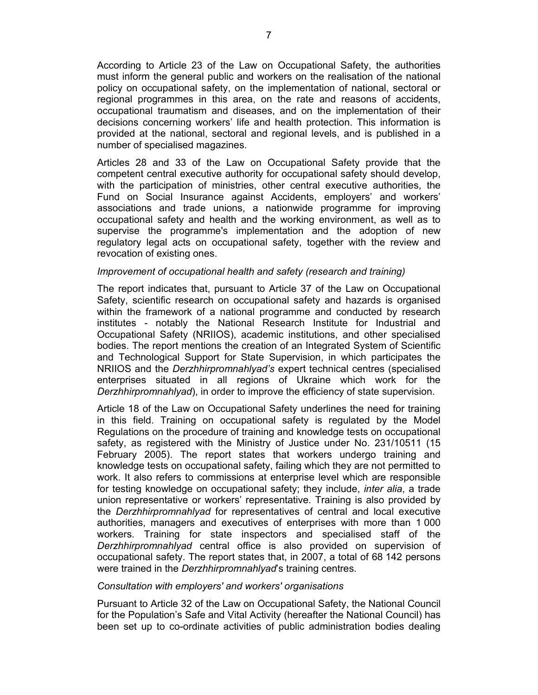According to Article 23 of the Law on Occupational Safety, the authorities must inform the general public and workers on the realisation of the national policy on occupational safety, on the implementation of national, sectoral or regional programmes in this area, on the rate and reasons of accidents, occupational traumatism and diseases, and on the implementation of their decisions concerning workers' life and health protection. This information is provided at the national, sectoral and regional levels, and is published in a number of specialised magazines.

Articles 28 and 33 of the Law on Occupational Safety provide that the competent central executive authority for occupational safety should develop, with the participation of ministries, other central executive authorities, the Fund on Social Insurance against Accidents, employers' and workers' associations and trade unions, a nationwide programme for improving occupational safety and health and the working environment, as well as to supervise the programme's implementation and the adoption of new regulatory legal acts on occupational safety, together with the review and revocation of existing ones.

## *Improvement of occupational health and safety (research and training)*

The report indicates that, pursuant to Article 37 of the Law on Occupational Safety, scientific research on occupational safety and hazards is organised within the framework of a national programme and conducted by research institutes - notably the National Research Institute for Industrial and Occupational Safety (NRIIOS), academic institutions, and other specialised bodies. The report mentions the creation of an Integrated System of Scientific and Technological Support for State Supervision, in which participates the NRIIOS and the *Derzhhirpromnahlyad's* expert technical centres (specialised enterprises situated in all regions of Ukraine which work for the *Derzhhirpromnahlyad*), in order to improve the efficiency of state supervision.

Article 18 of the Law on Occupational Safety underlines the need for training in this field. Training on occupational safety is regulated by the Model Regulations on the procedure of training and knowledge tests on occupational safety, as registered with the Ministry of Justice under No. 231/10511 (15 February 2005). The report states that workers undergo training and knowledge tests on occupational safety, failing which they are not permitted to work. It also refers to commissions at enterprise level which are responsible for testing knowledge on occupational safety; they include, *inter alia*, a trade union representative or workers' representative. Training is also provided by the *Derzhhirpromnahlyad* for representatives of central and local executive authorities, managers and executives of enterprises with more than 1 000 workers*.* Training for state inspectors and specialised staff of the *Derzhhirpromnahlyad* central office is also provided on supervision of occupational safety. The report states that, in 2007, a total of 68 142 persons were trained in the *Derzhhirpromnahlyad*'s training centres.

#### *Consultation with employers' and workers' organisations*

Pursuant to Article 32 of the Law on Occupational Safety, the National Council for the Population's Safe and Vital Activity (hereafter the National Council) has been set up to co-ordinate activities of public administration bodies dealing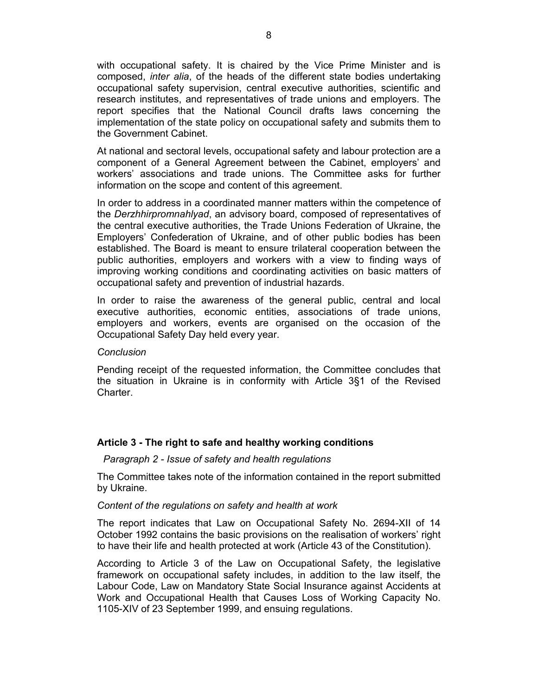with occupational safety. It is chaired by the Vice Prime Minister and is composed, *inter alia*, of the heads of the different state bodies undertaking occupational safety supervision, central executive authorities, scientific and research institutes, and representatives of trade unions and employers. The report specifies that the National Council drafts laws concerning the implementation of the state policy on occupational safety and submits them to the Government Cabinet.

At national and sectoral levels, occupational safety and labour protection are a component of a General Agreement between the Cabinet, employers' and workers' associations and trade unions. The Committee asks for further information on the scope and content of this agreement.

In order to address in a coordinated manner matters within the competence of the *Derzhhirpromnahlyad*, an advisory board, composed of representatives of the central executive authorities, the Trade Unions Federation of Ukraine, the Employers' Confederation of Ukraine, and of other public bodies has been established. The Board is meant to ensure trilateral cooperation between the public authorities, employers and workers with a view to finding ways of improving working conditions and coordinating activities on basic matters of occupational safety and prevention of industrial hazards.

In order to raise the awareness of the general public, central and local executive authorities, economic entities, associations of trade unions, employers and workers, events are organised on the occasion of the Occupational Safety Day held every year.

## *Conclusion*

Pending receipt of the requested information, the Committee concludes that the situation in Ukraine is in conformity with Article 3§1 of the Revised **Charter** 

## **Article 3 - The right to safe and healthy working conditions**

## *Paragraph 2 - Issue of safety and health regulations*

The Committee takes note of the information contained in the report submitted by Ukraine.

## *Content of the regulations on safety and health at work*

The report indicates that Law on Occupational Safety No. 2694-XII of 14 October 1992 contains the basic provisions on the realisation of workers' right to have their life and health protected at work (Article 43 of the Constitution).

According to Article 3 of the Law on Occupational Safety, the legislative framework on occupational safety includes, in addition to the law itself, the Labour Code, Law on Mandatory State Social Insurance against Accidents at Work and Occupational Health that Causes Loss of Working Capacity No. 1105-XIV of 23 September 1999, and ensuing regulations.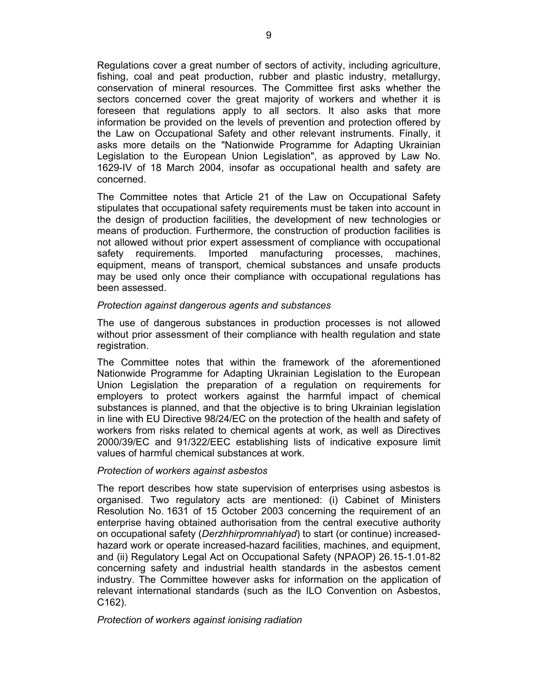Regulations cover a great number of sectors of activity, including agriculture, fishing, coal and peat production, rubber and plastic industry, metallurgy, conservation of mineral resources. The Committee first asks whether the sectors concerned cover the great majority of workers and whether it is foreseen that regulations apply to all sectors. It also asks that more information be provided on the levels of prevention and protection offered by the Law on Occupational Safety and other relevant instruments. Finally, it asks more details on the "Nationwide Programme for Adapting Ukrainian Legislation to the European Union Legislation", as approved by Law No. 1629-IV of 18 March 2004, insofar as occupational health and safety are concerned.

The Committee notes that Article 21 of the Law on Occupational Safety stipulates that occupational safety requirements must be taken into account in the design of production facilities, the development of new technologies or means of production. Furthermore, the construction of production facilities is not allowed without prior expert assessment of compliance with occupational safety requirements. Imported manufacturing processes, machines, equipment, means of transport, chemical substances and unsafe products may be used only once their compliance with occupational regulations has been assessed.

## *Protection against dangerous agents and substances*

The use of dangerous substances in production processes is not allowed without prior assessment of their compliance with health regulation and state registration.

The Committee notes that within the framework of the aforementioned Nationwide Programme for Adapting Ukrainian Legislation to the European Union Legislation the preparation of a regulation on requirements for employers to protect workers against the harmful impact of chemical substances is planned, and that the objective is to bring Ukrainian legislation in line with EU Directive 98/24/EC on the protection of the health and safety of workers from risks related to chemical agents at work, as well as Directives 2000/39/EC and 91/322/EEC establishing lists of indicative exposure limit values of harmful chemical substances at work.

## *Protection of workers against asbestos*

The report describes how state supervision of enterprises using asbestos is organised. Two regulatory acts are mentioned: (i) Cabinet of Ministers Resolution No. 1631 of 15 October 2003 concerning the requirement of an enterprise having obtained authorisation from the central executive authority on occupational safety (*Derzhhirpromnahlyad*) to start (or continue) increasedhazard work or operate increased-hazard facilities, machines, and equipment, and (ii) Regulatory Legal Act on Occupational Safety (NPAOP) 26.15-1.01-82 concerning safety and industrial health standards in the asbestos cement industry. The Committee however asks for information on the application of relevant international standards (such as the ILO Convention on Asbestos, C162).

## *Protection of workers against ionising radiation*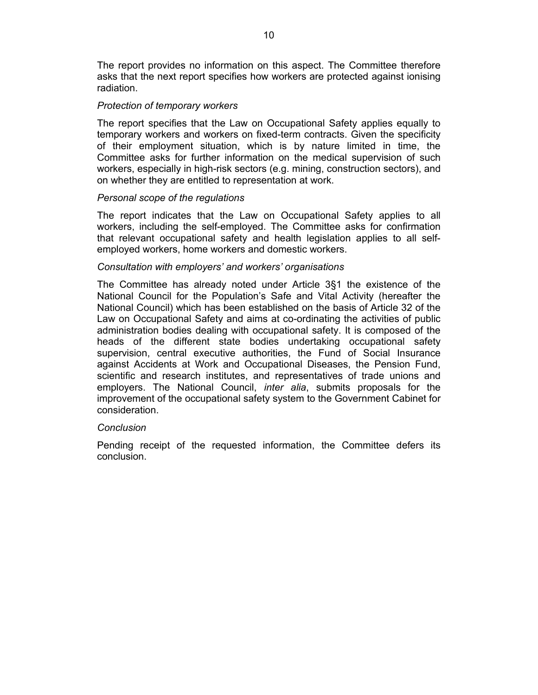The report provides no information on this aspect. The Committee therefore asks that the next report specifies how workers are protected against ionising radiation.

## *Protection of temporary workers*

The report specifies that the Law on Occupational Safety applies equally to temporary workers and workers on fixed-term contracts. Given the specificity of their employment situation, which is by nature limited in time, the Committee asks for further information on the medical supervision of such workers, especially in high-risk sectors (e.g. mining, construction sectors), and on whether they are entitled to representation at work.

# *Personal scope of the regulations*

The report indicates that the Law on Occupational Safety applies to all workers, including the self-employed. The Committee asks for confirmation that relevant occupational safety and health legislation applies to all selfemployed workers, home workers and domestic workers.

## *Consultation with employers' and workers' organisations*

The Committee has already noted under Article 3§1 the existence of the National Council for the Population's Safe and Vital Activity (hereafter the National Council) which has been established on the basis of Article 32 of the Law on Occupational Safety and aims at co-ordinating the activities of public administration bodies dealing with occupational safety. It is composed of the heads of the different state bodies undertaking occupational safety supervision, central executive authorities, the Fund of Social Insurance against Accidents at Work and Occupational Diseases, the Pension Fund, scientific and research institutes, and representatives of trade unions and employers. The National Council, *inter alia*, submits proposals for the improvement of the occupational safety system to the Government Cabinet for consideration.

## *Conclusion*

Pending receipt of the requested information, the Committee defers its conclusion.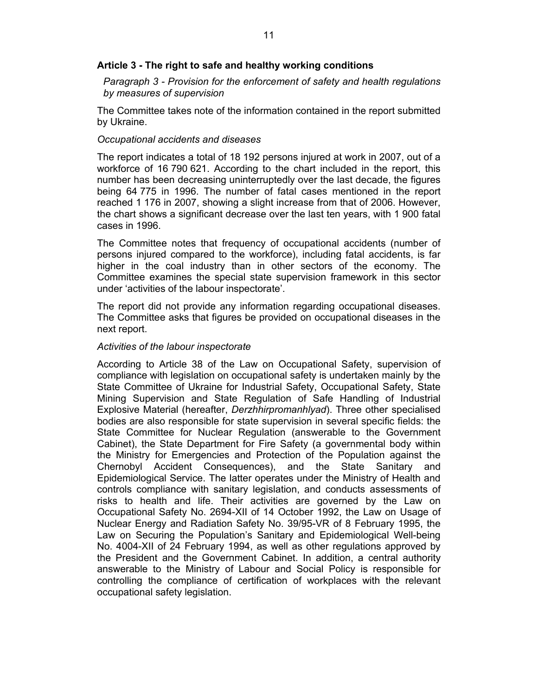# **Article 3 - The right to safe and healthy working conditions**

*Paragraph 3 - Provision for the enforcement of safety and health regulations by measures of supervision* 

The Committee takes note of the information contained in the report submitted by Ukraine.

## *Occupational accidents and diseases*

The report indicates a total of 18 192 persons injured at work in 2007, out of a workforce of 16 790 621. According to the chart included in the report, this number has been decreasing uninterruptedly over the last decade, the figures being 64 775 in 1996. The number of fatal cases mentioned in the report reached 1 176 in 2007, showing a slight increase from that of 2006. However, the chart shows a significant decrease over the last ten years, with 1 900 fatal cases in 1996.

The Committee notes that frequency of occupational accidents (number of persons injured compared to the workforce), including fatal accidents, is far higher in the coal industry than in other sectors of the economy. The Committee examines the special state supervision framework in this sector under 'activities of the labour inspectorate'.

The report did not provide any information regarding occupational diseases. The Committee asks that figures be provided on occupational diseases in the next report.

## *Activities of the labour inspectorate*

According to Article 38 of the Law on Occupational Safety, supervision of compliance with legislation on occupational safety is undertaken mainly by the State Committee of Ukraine for Industrial Safety, Occupational Safety, State Mining Supervision and State Regulation of Safe Handling of Industrial Explosive Material (hereafter, *Derzhhirpromanhlyad*). Three other specialised bodies are also responsible for state supervision in several specific fields: the State Committee for Nuclear Regulation (answerable to the Government Cabinet), the State Department for Fire Safety (a governmental body within the Ministry for Emergencies and Protection of the Population against the Chernobyl Accident Consequences), and the State Sanitary and Epidemiological Service. The latter operates under the Ministry of Health and controls compliance with sanitary legislation, and conducts assessments of risks to health and life. Their activities are governed by the Law on Occupational Safety No. 2694-XII of 14 October 1992, the Law on Usage of Nuclear Energy and Radiation Safety No. 39/95-VR of 8 February 1995, the Law on Securing the Population's Sanitary and Epidemiological Well-being No. 4004-XII of 24 February 1994, as well as other regulations approved by the President and the Government Cabinet. In addition, a central authority answerable to the Ministry of Labour and Social Policy is responsible for controlling the compliance of certification of workplaces with the relevant occupational safety legislation.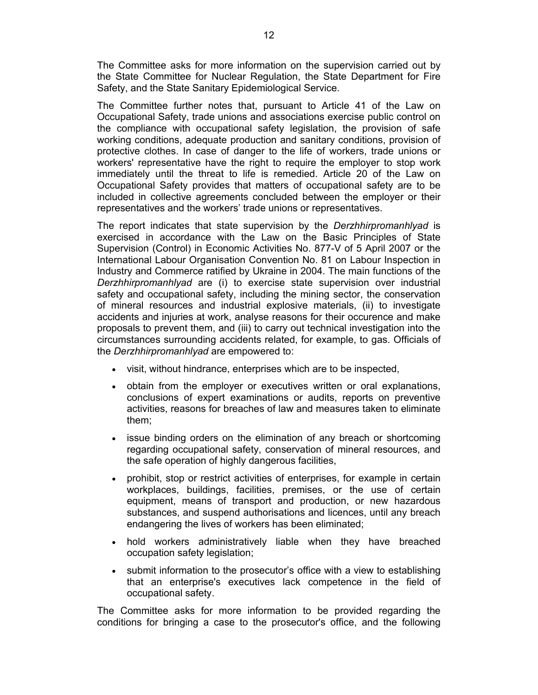The Committee asks for more information on the supervision carried out by the State Committee for Nuclear Regulation, the State Department for Fire Safety, and the State Sanitary Epidemiological Service.

The Committee further notes that, pursuant to Article 41 of the Law on Occupational Safety, trade unions and associations exercise public control on the compliance with occupational safety legislation, the provision of safe working conditions, adequate production and sanitary conditions, provision of protective clothes. In case of danger to the life of workers, trade unions or workers' representative have the right to require the employer to stop work immediately until the threat to life is remedied. Article 20 of the Law on Occupational Safety provides that matters of occupational safety are to be included in collective agreements concluded between the employer or their representatives and the workers' trade unions or representatives.

The report indicates that state supervision by the *Derzhhirpromanhlyad* is exercised in accordance with the Law on the Basic Principles of State Supervision (Control) in Economic Activities No. 877-V of 5 April 2007 or the International Labour Organisation Convention No. 81 on Labour Inspection in Industry and Commerce ratified by Ukraine in 2004. The main functions of the *Derzhhirpromanhlyad* are (i) to exercise state supervision over industrial safety and occupational safety, including the mining sector, the conservation of mineral resources and industrial explosive materials, (ii) to investigate accidents and injuries at work, analyse reasons for their occurence and make proposals to prevent them, and (iii) to carry out technical investigation into the circumstances surrounding accidents related, for example, to gas. Officials of the *Derzhhirpromanhlyad* are empowered to:

- visit, without hindrance, enterprises which are to be inspected,
- obtain from the employer or executives written or oral explanations, conclusions of expert examinations or audits, reports on preventive activities, reasons for breaches of law and measures taken to eliminate them;
- issue binding orders on the elimination of any breach or shortcoming regarding occupational safety, conservation of mineral resources, and the safe operation of highly dangerous facilities,
- prohibit, stop or restrict activities of enterprises, for example in certain workplaces, buildings, facilities, premises, or the use of certain equipment, means of transport and production, or new hazardous substances, and suspend authorisations and licences, until any breach endangering the lives of workers has been eliminated;
- hold workers administratively liable when they have breached occupation safety legislation;
- submit information to the prosecutor's office with a view to establishing that an enterprise's executives lack competence in the field of occupational safety.

The Committee asks for more information to be provided regarding the conditions for bringing a case to the prosecutor's office, and the following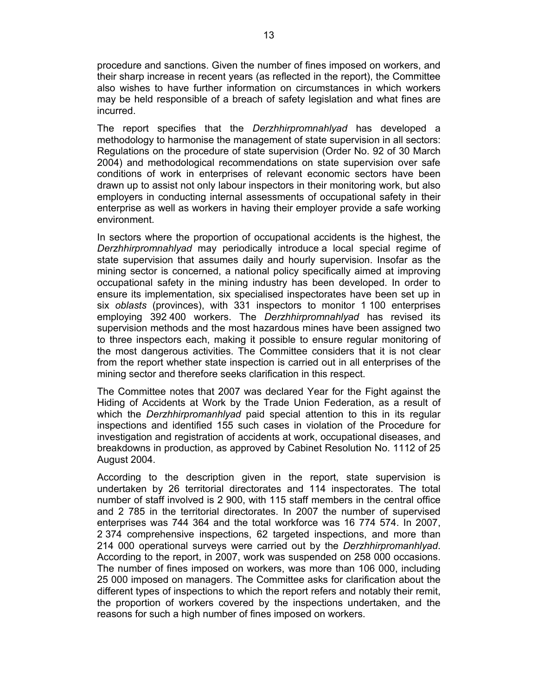procedure and sanctions. Given the number of fines imposed on workers, and their sharp increase in recent years (as reflected in the report), the Committee also wishes to have further information on circumstances in which workers may be held responsible of a breach of safety legislation and what fines are incurred.

The report specifies that the *Derzhhirpromnahlyad* has developed a methodology to harmonise the management of state supervision in all sectors: Regulations on the procedure of state supervision (Order No. 92 of 30 March 2004) and methodological recommendations on state supervision over safe conditions of work in enterprises of relevant economic sectors have been drawn up to assist not only labour inspectors in their monitoring work, but also employers in conducting internal assessments of occupational safety in their enterprise as well as workers in having their employer provide a safe working environment.

In sectors where the proportion of occupational accidents is the highest, the *Derzhhirpromnahlyad* may periodically introduce a local special regime of state supervision that assumes daily and hourly supervision. Insofar as the mining sector is concerned, a national policy specifically aimed at improving occupational safety in the mining industry has been developed. In order to ensure its implementation, six specialised inspectorates have been set up in six *oblasts* (provinces), with 331 inspectors to monitor 1 100 enterprises employing 392 400 workers. The *Derzhhirpromnahlyad* has revised its supervision methods and the most hazardous mines have been assigned two to three inspectors each, making it possible to ensure regular monitoring of the most dangerous activities. The Committee considers that it is not clear from the report whether state inspection is carried out in all enterprises of the mining sector and therefore seeks clarification in this respect.

The Committee notes that 2007 was declared Year for the Fight against the Hiding of Accidents at Work by the Trade Union Federation, as a result of which the *Derzhhirpromanhlyad* paid special attention to this in its regular inspections and identified 155 such cases in violation of the Procedure for investigation and registration of accidents at work, occupational diseases, and breakdowns in production, as approved by Cabinet Resolution No. 1112 of 25 August 2004.

According to the description given in the report, state supervision is undertaken by 26 territorial directorates and 114 inspectorates. The total number of staff involved is 2 900, with 115 staff members in the central office and 2 785 in the territorial directorates. In 2007 the number of supervised enterprises was 744 364 and the total workforce was 16 774 574. In 2007, 2 374 comprehensive inspections, 62 targeted inspections, and more than 214 000 operational surveys were carried out by the *Derzhhirpromanhlyad*. According to the report, in 2007, work was suspended on 258 000 occasions. The number of fines imposed on workers, was more than 106 000, including 25 000 imposed on managers. The Committee asks for clarification about the different types of inspections to which the report refers and notably their remit, the proportion of workers covered by the inspections undertaken, and the reasons for such a high number of fines imposed on workers.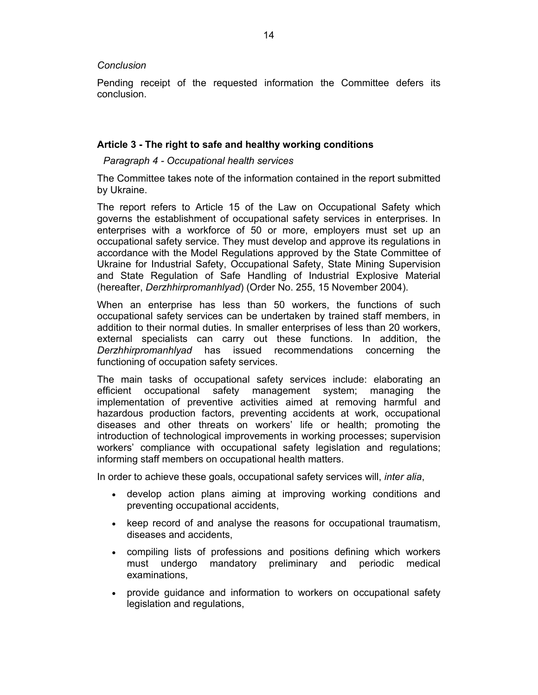# *Conclusion*

Pending receipt of the requested information the Committee defers its conclusion.

# **Article 3 - The right to safe and healthy working conditions**

# *Paragraph 4 - Occupational health services*

The Committee takes note of the information contained in the report submitted by Ukraine.

The report refers to Article 15 of the Law on Occupational Safety which governs the establishment of occupational safety services in enterprises. In enterprises with a workforce of 50 or more, employers must set up an occupational safety service. They must develop and approve its regulations in accordance with the Model Regulations approved by the State Committee of Ukraine for Industrial Safety, Occupational Safety, State Mining Supervision and State Regulation of Safe Handling of Industrial Explosive Material (hereafter, *Derzhhirpromanhlyad*) (Order No. 255, 15 November 2004).

When an enterprise has less than 50 workers, the functions of such occupational safety services can be undertaken by trained staff members, in addition to their normal duties. In smaller enterprises of less than 20 workers, external specialists can carry out these functions. In addition, the *Derzhhirpromanhlyad* has issued recommendations concerning the functioning of occupation safety services.

The main tasks of occupational safety services include: elaborating an efficient occupational safety management system; managing the implementation of preventive activities aimed at removing harmful and hazardous production factors, preventing accidents at work, occupational diseases and other threats on workers' life or health; promoting the introduction of technological improvements in working processes; supervision workers' compliance with occupational safety legislation and regulations; informing staff members on occupational health matters.

In order to achieve these goals, occupational safety services will, *inter alia*,

- develop action plans aiming at improving working conditions and preventing occupational accidents,
- keep record of and analyse the reasons for occupational traumatism, diseases and accidents,
- compiling lists of professions and positions defining which workers must undergo mandatory preliminary and periodic medical examinations,
- provide guidance and information to workers on occupational safety legislation and regulations,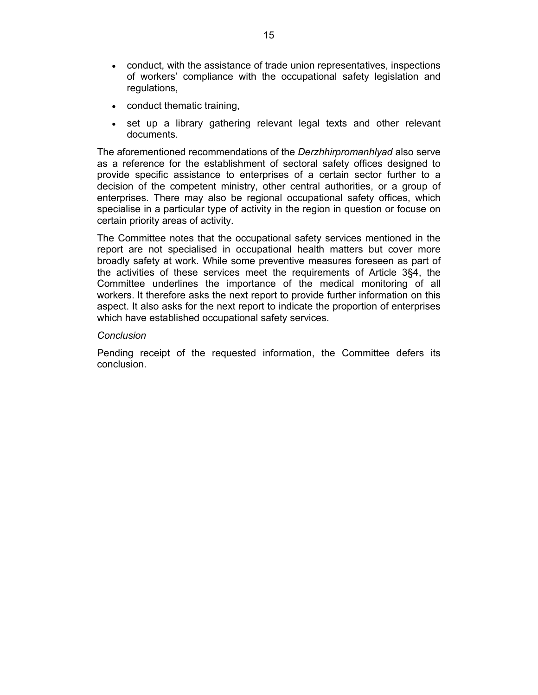- conduct, with the assistance of trade union representatives, inspections of workers' compliance with the occupational safety legislation and regulations,
- conduct thematic training,
- set up a library gathering relevant legal texts and other relevant documents.

The aforementioned recommendations of the *Derzhhirpromanhlyad* also serve as a reference for the establishment of sectoral safety offices designed to provide specific assistance to enterprises of a certain sector further to a decision of the competent ministry, other central authorities, or a group of enterprises. There may also be regional occupational safety offices, which specialise in a particular type of activity in the region in question or focuse on certain priority areas of activity.

The Committee notes that the occupational safety services mentioned in the report are not specialised in occupational health matters but cover more broadly safety at work. While some preventive measures foreseen as part of the activities of these services meet the requirements of Article 3§4, the Committee underlines the importance of the medical monitoring of all workers. It therefore asks the next report to provide further information on this aspect. It also asks for the next report to indicate the proportion of enterprises which have established occupational safety services.

## *Conclusion*

Pending receipt of the requested information, the Committee defers its conclusion.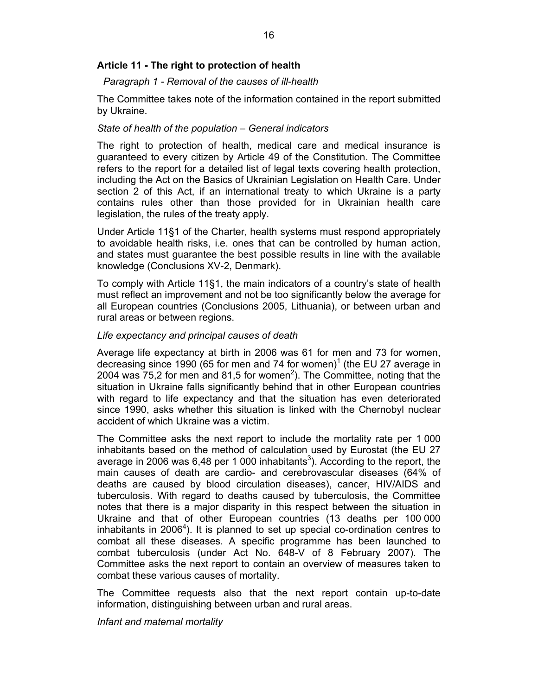# **Article 11 - The right to protection of health**

## *Paragraph 1 - Removal of the causes of ill-health*

The Committee takes note of the information contained in the report submitted by Ukraine.

## *State of health of the population – General indicators*

The right to protection of health, medical care and medical insurance is guaranteed to every citizen by Article 49 of the Constitution. The Committee refers to the report for a detailed list of legal texts covering health protection, including the Act on the Basics of Ukrainian Legislation on Health Care. Under section 2 of this Act, if an international treaty to which Ukraine is a party contains rules other than those provided for in Ukrainian health care legislation, the rules of the treaty apply.

Under Article 11§1 of the Charter, health systems must respond appropriately to avoidable health risks, i.e. ones that can be controlled by human action, and states must guarantee the best possible results in line with the available knowledge (Conclusions XV-2, Denmark).

To comply with Article 11§1, the main indicators of a country's state of health must reflect an improvement and not be too significantly below the average for all European countries (Conclusions 2005, Lithuania), or between urban and rural areas or between regions.

## *Life expectancy and principal causes of death*

Average life expectancy at birth in 2006 was 61 for men and 73 for women, decreasing since 1990 (65 for men and 74 for women) $1$  (the EU 27 average in 2004 was  $75,2$  for men and 81,5 for women<sup>2</sup>). The Committee, noting that the situation in Ukraine falls significantly behind that in other European countries with regard to life expectancy and that the situation has even deteriorated since 1990, asks whether this situation is linked with the Chernobyl nuclear accident of which Ukraine was a victim.

The Committee asks the next report to include the mortality rate per 1 000 inhabitants based on the method of calculation used by Eurostat (the EU 27 average in 2006 was 6,48 per 1 000 inhabitants<sup>3</sup>). According to the report, the main causes of death are cardio- and cerebrovascular diseases (64% of deaths are caused by blood circulation diseases), cancer, HIV/AIDS and tuberculosis. With regard to deaths caused by tuberculosis, the Committee notes that there is a major disparity in this respect between the situation in Ukraine and that of other European countries (13 deaths per 100 000 inhabitants in 2006<sup>4</sup>). It is planned to set up special co-ordination centres to combat all these diseases. A specific programme has been launched to combat tuberculosis (under Act No. 648-V of 8 February 2007). The Committee asks the next report to contain an overview of measures taken to combat these various causes of mortality.

The Committee requests also that the next report contain up-to-date information, distinguishing between urban and rural areas.

## *Infant and maternal mortality*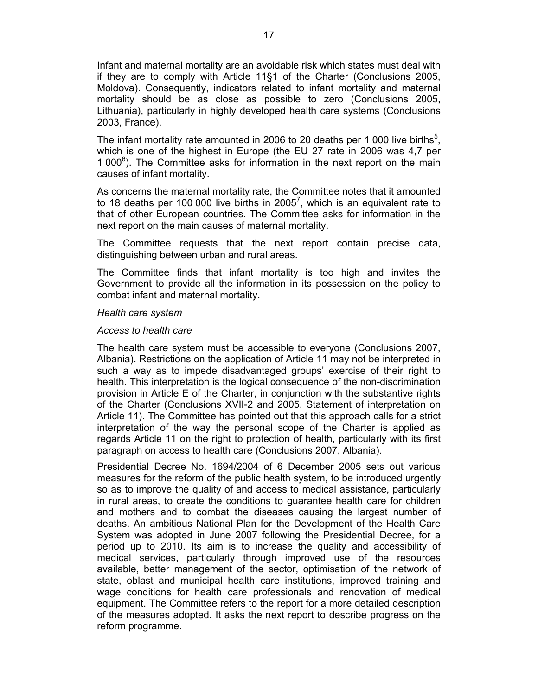Infant and maternal mortality are an avoidable risk which states must deal with if they are to comply with Article 11§1 of the Charter (Conclusions 2005, Moldova). Consequently, indicators related to infant mortality and maternal mortality should be as close as possible to zero (Conclusions 2005, Lithuania), particularly in highly developed health care systems (Conclusions 2003, France).

The infant mortality rate amounted in 2006 to 20 deaths per 1 000 live births<sup>5</sup>, which is one of the highest in Europe (the EU 27 rate in 2006 was 4,7 per 1 000<sup>6</sup>). The Committee asks for information in the next report on the main causes of infant mortality.

As concerns the maternal mortality rate, the Committee notes that it amounted to 18 deaths per 100 000 live births in 2005<sup>7</sup>, which is an equivalent rate to that of other European countries. The Committee asks for information in the next report on the main causes of maternal mortality.

The Committee requests that the next report contain precise data, distinguishing between urban and rural areas.

The Committee finds that infant mortality is too high and invites the Government to provide all the information in its possession on the policy to combat infant and maternal mortality.

#### *Health care system*

## *Access to health care*

The health care system must be accessible to everyone (Conclusions 2007, Albania). Restrictions on the application of Article 11 may not be interpreted in such a way as to impede disadvantaged groups' exercise of their right to health. This interpretation is the logical consequence of the non-discrimination provision in Article E of the Charter, in conjunction with the substantive rights of the Charter (Conclusions XVII-2 and 2005, Statement of interpretation on Article 11). The Committee has pointed out that this approach calls for a strict interpretation of the way the personal scope of the Charter is applied as regards Article 11 on the right to protection of health, particularly with its first paragraph on access to health care (Conclusions 2007, Albania).

Presidential Decree No. 1694/2004 of 6 December 2005 sets out various measures for the reform of the public health system, to be introduced urgently so as to improve the quality of and access to medical assistance, particularly in rural areas, to create the conditions to guarantee health care for children and mothers and to combat the diseases causing the largest number of deaths. An ambitious National Plan for the Development of the Health Care System was adopted in June 2007 following the Presidential Decree, for a period up to 2010. Its aim is to increase the quality and accessibility of medical services, particularly through improved use of the resources available, better management of the sector, optimisation of the network of state, oblast and municipal health care institutions, improved training and wage conditions for health care professionals and renovation of medical equipment. The Committee refers to the report for a more detailed description of the measures adopted. It asks the next report to describe progress on the reform programme.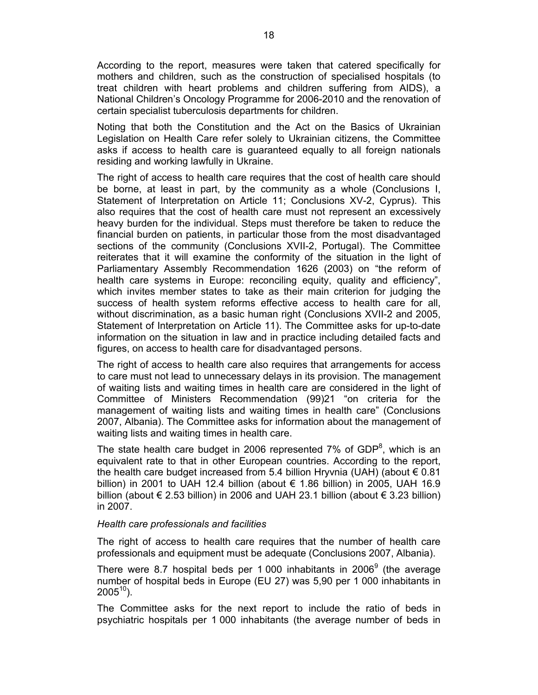According to the report, measures were taken that catered specifically for mothers and children, such as the construction of specialised hospitals (to treat children with heart problems and children suffering from AIDS), a National Children's Oncology Programme for 2006-2010 and the renovation of certain specialist tuberculosis departments for children.

Noting that both the Constitution and the Act on the Basics of Ukrainian Legislation on Health Care refer solely to Ukrainian citizens, the Committee asks if access to health care is guaranteed equally to all foreign nationals residing and working lawfully in Ukraine.

The right of access to health care requires that the cost of health care should be borne, at least in part, by the community as a whole (Conclusions I, Statement of Interpretation on Article 11; Conclusions XV-2, Cyprus). This also requires that the cost of health care must not represent an excessively heavy burden for the individual. Steps must therefore be taken to reduce the financial burden on patients, in particular those from the most disadvantaged sections of the community (Conclusions XVII-2, Portugal). The Committee reiterates that it will examine the conformity of the situation in the light of Parliamentary Assembly Recommendation 1626 (2003) on "the reform of health care systems in Europe: reconciling equity, quality and efficiency", which invites member states to take as their main criterion for judging the success of health system reforms effective access to health care for all, without discrimination, as a basic human right (Conclusions XVII-2 and 2005, Statement of Interpretation on Article 11). The Committee asks for up-to-date information on the situation in law and in practice including detailed facts and figures, on access to health care for disadvantaged persons.

The right of access to health care also requires that arrangements for access to care must not lead to unnecessary delays in its provision. The management of waiting lists and waiting times in health care are considered in the light of Committee of Ministers Recommendation (99)21 "on criteria for the management of waiting lists and waiting times in health care" (Conclusions 2007, Albania). The Committee asks for information about the management of waiting lists and waiting times in health care.

The state health care budget in 2006 represented  $7\%$  of GDP<sup>8</sup>, which is an equivalent rate to that in other European countries. According to the report, the health care budget increased from 5.4 billion Hryvnia (UAH) (about  $\epsilon$  0.81 billion) in 2001 to UAH 12.4 billion (about  $\epsilon$  1.86 billion) in 2005, UAH 16.9 billion (about € 2.53 billion) in 2006 and UAH 23.1 billion (about € 3.23 billion) in 2007.

## *Health care professionals and facilities*

The right of access to health care requires that the number of health care professionals and equipment must be adequate (Conclusions 2007, Albania).

There were 8.7 hospital beds per 1 000 inhabitants in 2006 $^9$  (the average number of hospital beds in Europe (EU 27) was 5,90 per 1 000 inhabitants in  $2005^{10}$ ).

The Committee asks for the next report to include the ratio of beds in psychiatric hospitals per 1 000 inhabitants (the average number of beds in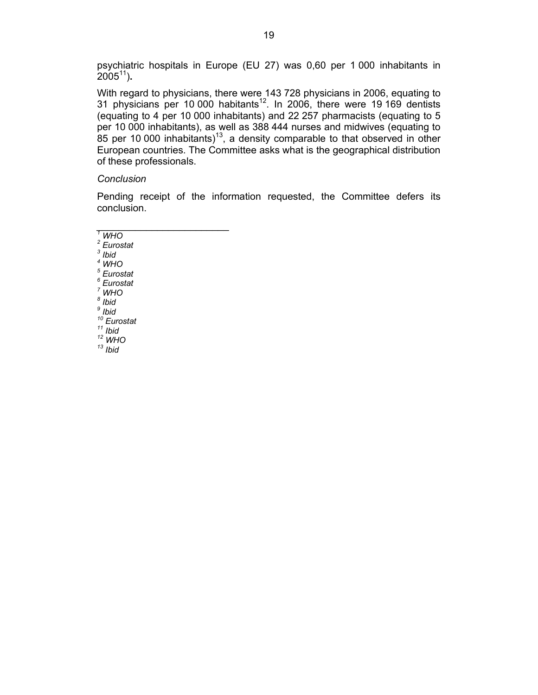psychiatric hospitals in Europe (EU 27) was 0,60 per 1 000 inhabitants in 200511)**.**

With regard to physicians, there were 143 728 physicians in 2006, equating to 31 physicians per 10 000 habitants<sup>12</sup>. In 2006, there were 19 169 dentists (equating to 4 per 10 000 inhabitants) and 22 257 pharmacists (equating to 5 per 10 000 inhabitants), as well as 388 444 nurses and midwives (equating to 85 per 10 000 inhabitants)<sup>13</sup>, a density comparable to that observed in other European countries. The Committee asks what is the geographical distribution of these professionals.

## *Conclusion*

*\_\_\_\_\_\_\_\_\_\_\_\_\_\_\_\_\_\_\_\_\_\_\_\_* 

Pending receipt of the information requested, the Committee defers its conclusion.

*1 WHO 2 Eurostat 3 Ibid 4 WHO 5 Eurostat 6 Eurostat 7 WHO 8 Ibid 9 Ibid 10 Eurostat 11 Ibid 12 WHO 13 Ibid*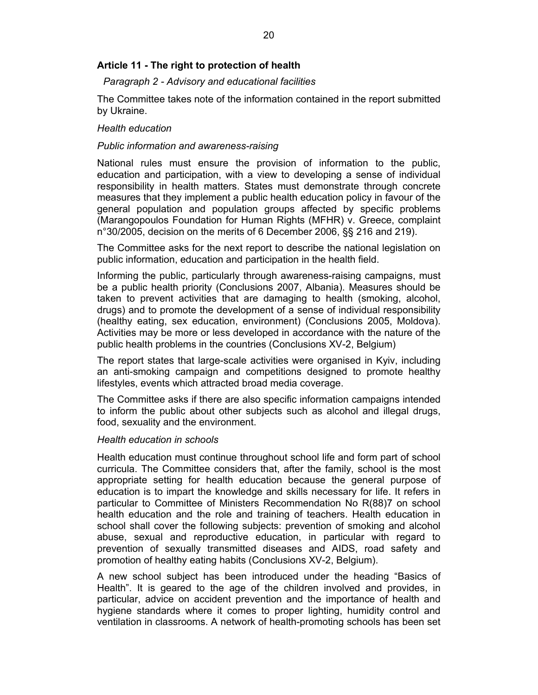# **Article 11 - The right to protection of health**

## *Paragraph 2 - Advisory and educational facilities*

The Committee takes note of the information contained in the report submitted by Ukraine.

## *Health education*

## *Public information and awareness-raising*

National rules must ensure the provision of information to the public, education and participation, with a view to developing a sense of individual responsibility in health matters. States must demonstrate through concrete measures that they implement a public health education policy in favour of the general population and population groups affected by specific problems (Marangopoulos Foundation for Human Rights (MFHR) v. Greece, complaint n°30/2005, decision on the merits of 6 December 2006, §§ 216 and 219).

The Committee asks for the next report to describe the national legislation on public information, education and participation in the health field.

Informing the public, particularly through awareness-raising campaigns, must be a public health priority (Conclusions 2007, Albania). Measures should be taken to prevent activities that are damaging to health (smoking, alcohol, drugs) and to promote the development of a sense of individual responsibility (healthy eating, sex education, environment) (Conclusions 2005, Moldova). Activities may be more or less developed in accordance with the nature of the public health problems in the countries (Conclusions XV-2, Belgium)

The report states that large-scale activities were organised in Kyiv, including an anti-smoking campaign and competitions designed to promote healthy lifestyles, events which attracted broad media coverage.

The Committee asks if there are also specific information campaigns intended to inform the public about other subjects such as alcohol and illegal drugs, food, sexuality and the environment.

#### *Health education in schools*

Health education must continue throughout school life and form part of school curricula. The Committee considers that, after the family, school is the most appropriate setting for health education because the general purpose of education is to impart the knowledge and skills necessary for life. It refers in particular to Committee of Ministers Recommendation No R(88)7 on school health education and the role and training of teachers. Health education in school shall cover the following subjects: prevention of smoking and alcohol abuse, sexual and reproductive education, in particular with regard to prevention of sexually transmitted diseases and AIDS, road safety and promotion of healthy eating habits (Conclusions XV-2, Belgium).

A new school subject has been introduced under the heading "Basics of Health". It is geared to the age of the children involved and provides, in particular, advice on accident prevention and the importance of health and hygiene standards where it comes to proper lighting, humidity control and ventilation in classrooms. A network of health-promoting schools has been set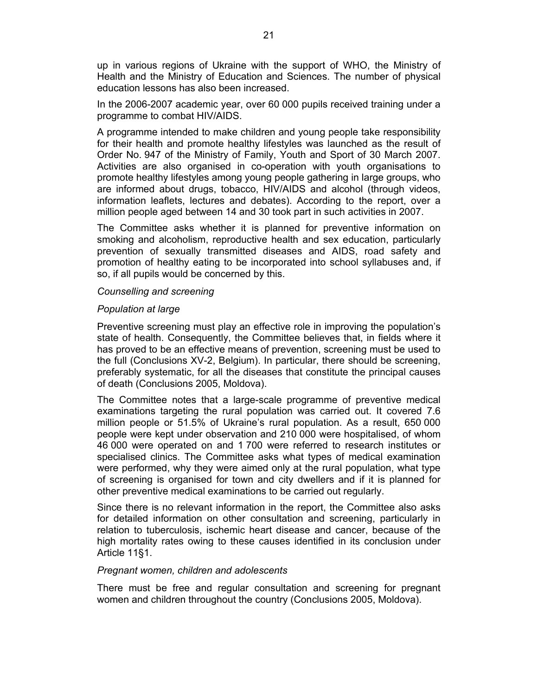up in various regions of Ukraine with the support of WHO, the Ministry of Health and the Ministry of Education and Sciences. The number of physical education lessons has also been increased.

In the 2006-2007 academic year, over 60 000 pupils received training under a programme to combat HIV/AIDS.

A programme intended to make children and young people take responsibility for their health and promote healthy lifestyles was launched as the result of Order No. 947 of the Ministry of Family, Youth and Sport of 30 March 2007. Activities are also organised in co-operation with youth organisations to promote healthy lifestyles among young people gathering in large groups, who are informed about drugs, tobacco, HIV/AIDS and alcohol (through videos, information leaflets, lectures and debates). According to the report, over a million people aged between 14 and 30 took part in such activities in 2007.

The Committee asks whether it is planned for preventive information on smoking and alcoholism, reproductive health and sex education, particularly prevention of sexually transmitted diseases and AIDS, road safety and promotion of healthy eating to be incorporated into school syllabuses and, if so, if all pupils would be concerned by this.

#### *Counselling and screening*

## *Population at large*

Preventive screening must play an effective role in improving the population's state of health. Consequently, the Committee believes that, in fields where it has proved to be an effective means of prevention, screening must be used to the full (Conclusions XV-2, Belgium). In particular, there should be screening, preferably systematic, for all the diseases that constitute the principal causes of death (Conclusions 2005, Moldova).

The Committee notes that a large-scale programme of preventive medical examinations targeting the rural population was carried out. It covered 7.6 million people or 51.5% of Ukraine's rural population. As a result, 650 000 people were kept under observation and 210 000 were hospitalised, of whom 46 000 were operated on and 1 700 were referred to research institutes or specialised clinics. The Committee asks what types of medical examination were performed, why they were aimed only at the rural population, what type of screening is organised for town and city dwellers and if it is planned for other preventive medical examinations to be carried out regularly.

Since there is no relevant information in the report, the Committee also asks for detailed information on other consultation and screening, particularly in relation to tuberculosis, ischemic heart disease and cancer, because of the high mortality rates owing to these causes identified in its conclusion under Article 11§1.

#### *Pregnant women, children and adolescents*

There must be free and regular consultation and screening for pregnant women and children throughout the country (Conclusions 2005, Moldova).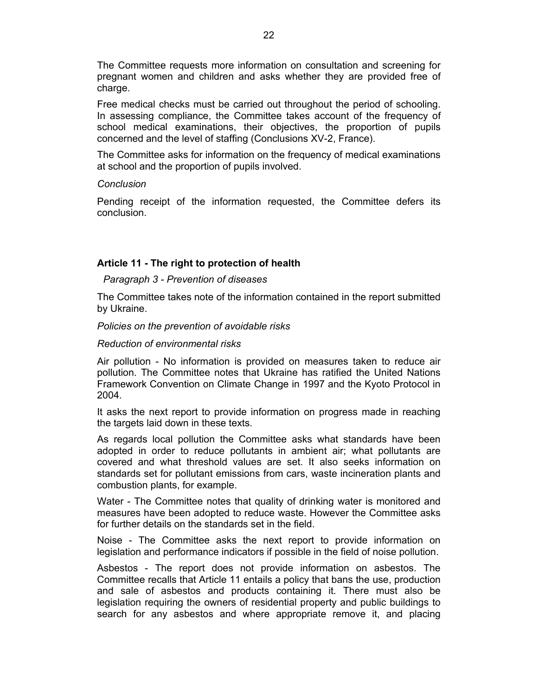The Committee requests more information on consultation and screening for pregnant women and children and asks whether they are provided free of charge.

Free medical checks must be carried out throughout the period of schooling. In assessing compliance, the Committee takes account of the frequency of school medical examinations, their objectives, the proportion of pupils concerned and the level of staffing (Conclusions XV-2, France).

The Committee asks for information on the frequency of medical examinations at school and the proportion of pupils involved.

## *Conclusion*

Pending receipt of the information requested, the Committee defers its conclusion.

# **Article 11 - The right to protection of health**

## *Paragraph 3 - Prevention of diseases*

The Committee takes note of the information contained in the report submitted by Ukraine.

## *Policies on the prevention of avoidable risks*

## *Reduction of environmental risks*

Air pollution - No information is provided on measures taken to reduce air pollution. The Committee notes that Ukraine has ratified the United Nations Framework Convention on Climate Change in 1997 and the Kyoto Protocol in 2004.

It asks the next report to provide information on progress made in reaching the targets laid down in these texts.

As regards local pollution the Committee asks what standards have been adopted in order to reduce pollutants in ambient air; what pollutants are covered and what threshold values are set. It also seeks information on standards set for pollutant emissions from cars, waste incineration plants and combustion plants, for example.

Water - The Committee notes that quality of drinking water is monitored and measures have been adopted to reduce waste. However the Committee asks for further details on the standards set in the field.

Noise - The Committee asks the next report to provide information on legislation and performance indicators if possible in the field of noise pollution.

Asbestos - The report does not provide information on asbestos. The Committee recalls that Article 11 entails a policy that bans the use, production and sale of asbestos and products containing it. There must also be legislation requiring the owners of residential property and public buildings to search for any asbestos and where appropriate remove it, and placing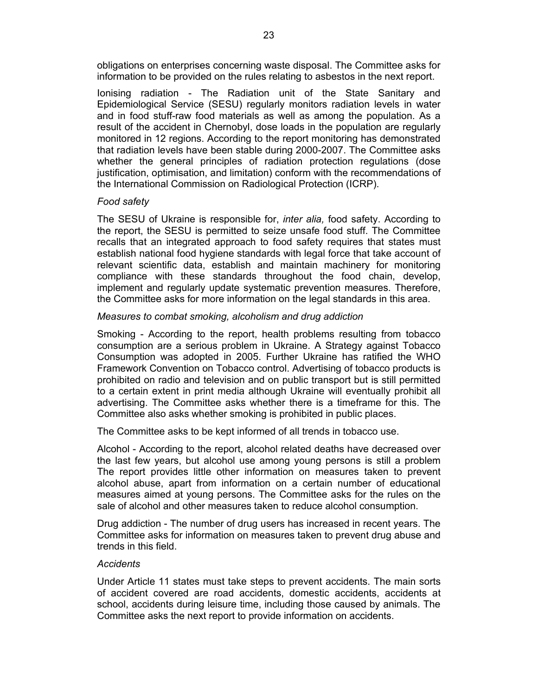obligations on enterprises concerning waste disposal. The Committee asks for information to be provided on the rules relating to asbestos in the next report.

Ionising radiation - The Radiation unit of the State Sanitary and Epidemiological Service (SESU) regularly monitors radiation levels in water and in food stuff-raw food materials as well as among the population. As a result of the accident in Chernobyl, dose loads in the population are regularly monitored in 12 regions. According to the report monitoring has demonstrated that radiation levels have been stable during 2000-2007. The Committee asks whether the general principles of radiation protection regulations (dose justification, optimisation, and limitation) conform with the recommendations of the International Commission on Radiological Protection (ICRP).

# *Food safety*

The SESU of Ukraine is responsible for, *inter alia,* food safety. According to the report, the SESU is permitted to seize unsafe food stuff. The Committee recalls that an integrated approach to food safety requires that states must establish national food hygiene standards with legal force that take account of relevant scientific data, establish and maintain machinery for monitoring compliance with these standards throughout the food chain, develop, implement and regularly update systematic prevention measures. Therefore, the Committee asks for more information on the legal standards in this area.

# *Measures to combat smoking, alcoholism and drug addiction*

Smoking - According to the report, health problems resulting from tobacco consumption are a serious problem in Ukraine. A Strategy against Tobacco Consumption was adopted in 2005. Further Ukraine has ratified the WHO Framework Convention on Tobacco control. Advertising of tobacco products is prohibited on radio and television and on public transport but is still permitted to a certain extent in print media although Ukraine will eventually prohibit all advertising. The Committee asks whether there is a timeframe for this. The Committee also asks whether smoking is prohibited in public places.

The Committee asks to be kept informed of all trends in tobacco use.

Alcohol - According to the report, alcohol related deaths have decreased over the last few years, but alcohol use among young persons is still a problem The report provides little other information on measures taken to prevent alcohol abuse, apart from information on a certain number of educational measures aimed at young persons. The Committee asks for the rules on the sale of alcohol and other measures taken to reduce alcohol consumption.

Drug addiction - The number of drug users has increased in recent years. The Committee asks for information on measures taken to prevent drug abuse and trends in this field.

# *Accidents*

Under Article 11 states must take steps to prevent accidents. The main sorts of accident covered are road accidents, domestic accidents, accidents at school, accidents during leisure time, including those caused by animals. The Committee asks the next report to provide information on accidents.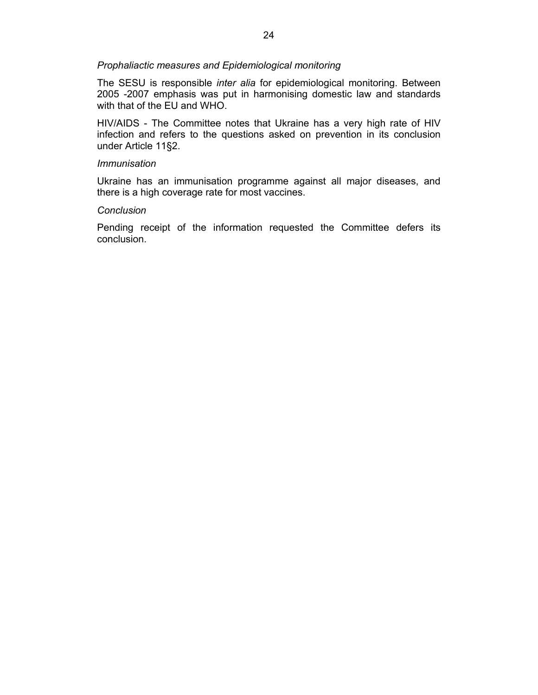## *Prophaliactic measures and Epidemiological monitoring*

The SESU is responsible *inter alia* for epidemiological monitoring. Between 2005 -2007 emphasis was put in harmonising domestic law and standards with that of the EU and WHO.

HIV/AIDS - The Committee notes that Ukraine has a very high rate of HIV infection and refers to the questions asked on prevention in its conclusion under Article 11§2.

## *Immunisation*

Ukraine has an immunisation programme against all major diseases, and there is a high coverage rate for most vaccines.

## *Conclusion*

Pending receipt of the information requested the Committee defers its conclusion.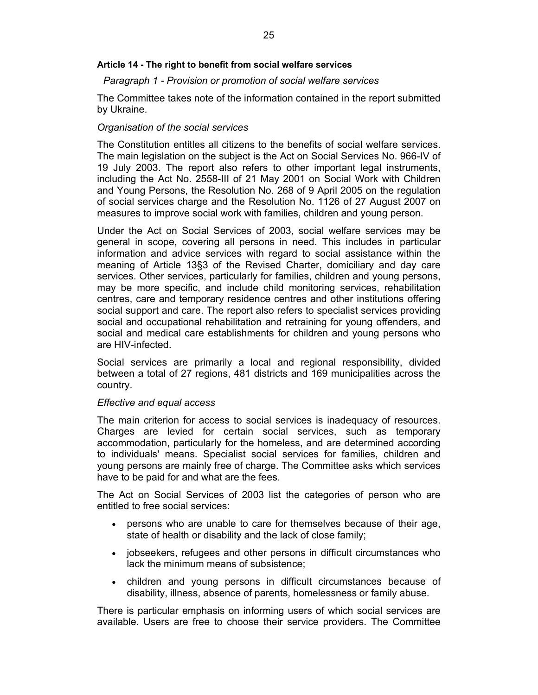## **Article 14 - The right to benefit from social welfare services**

## *Paragraph 1 - Provision or promotion of social welfare services*

The Committee takes note of the information contained in the report submitted by Ukraine.

## *Organisation of the social services*

The Constitution entitles all citizens to the benefits of social welfare services. The main legislation on the subject is the Act on Social Services No. 966-IV of 19 July 2003. The report also refers to other important legal instruments, including the Act No. 2558-III of 21 May 2001 on Social Work with Children and Young Persons, the Resolution No. 268 of 9 April 2005 on the regulation of social services charge and the Resolution No. 1126 of 27 August 2007 on measures to improve social work with families, children and young person.

Under the Act on Social Services of 2003, social welfare services may be general in scope, covering all persons in need. This includes in particular information and advice services with regard to social assistance within the meaning of Article 13§3 of the Revised Charter, domiciliary and day care services. Other services, particularly for families, children and young persons, may be more specific, and include child monitoring services, rehabilitation centres, care and temporary residence centres and other institutions offering social support and care. The report also refers to specialist services providing social and occupational rehabilitation and retraining for young offenders, and social and medical care establishments for children and young persons who are HIV-infected.

Social services are primarily a local and regional responsibility, divided between a total of 27 regions, 481 districts and 169 municipalities across the country.

#### *Effective and equal access*

The main criterion for access to social services is inadequacy of resources. Charges are levied for certain social services, such as temporary accommodation, particularly for the homeless, and are determined according to individuals' means. Specialist social services for families, children and young persons are mainly free of charge. The Committee asks which services have to be paid for and what are the fees.

The Act on Social Services of 2003 list the categories of person who are entitled to free social services:

- persons who are unable to care for themselves because of their age, state of health or disability and the lack of close family;
- jobseekers, refugees and other persons in difficult circumstances who lack the minimum means of subsistence;
- children and young persons in difficult circumstances because of disability, illness, absence of parents, homelessness or family abuse.

There is particular emphasis on informing users of which social services are available. Users are free to choose their service providers. The Committee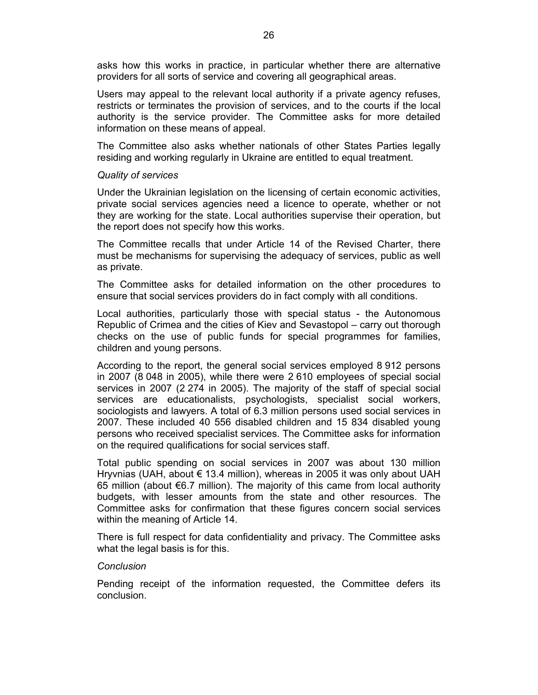asks how this works in practice, in particular whether there are alternative providers for all sorts of service and covering all geographical areas.

Users may appeal to the relevant local authority if a private agency refuses, restricts or terminates the provision of services, and to the courts if the local authority is the service provider. The Committee asks for more detailed information on these means of appeal.

The Committee also asks whether nationals of other States Parties legally residing and working regularly in Ukraine are entitled to equal treatment.

## *Quality of services*

Under the Ukrainian legislation on the licensing of certain economic activities, private social services agencies need a licence to operate, whether or not they are working for the state. Local authorities supervise their operation, but the report does not specify how this works.

The Committee recalls that under Article 14 of the Revised Charter, there must be mechanisms for supervising the adequacy of services, public as well as private.

The Committee asks for detailed information on the other procedures to ensure that social services providers do in fact comply with all conditions.

Local authorities, particularly those with special status - the Autonomous Republic of Crimea and the cities of Kiev and Sevastopol – carry out thorough checks on the use of public funds for special programmes for families, children and young persons.

According to the report, the general social services employed 8 912 persons in 2007 (8 048 in 2005), while there were 2 610 employees of special social services in 2007 (2 274 in 2005). The majority of the staff of special social services are educationalists, psychologists, specialist social workers, sociologists and lawyers. A total of 6.3 million persons used social services in 2007. These included 40 556 disabled children and 15 834 disabled young persons who received specialist services. The Committee asks for information on the required qualifications for social services staff.

Total public spending on social services in 2007 was about 130 million Hryvnias (UAH, about € 13.4 million), whereas in 2005 it was only about UAH 65 million (about €6.7 million). The majority of this came from local authority budgets, with lesser amounts from the state and other resources. The Committee asks for confirmation that these figures concern social services within the meaning of Article 14.

There is full respect for data confidentiality and privacy. The Committee asks what the legal basis is for this.

## *Conclusion*

Pending receipt of the information requested, the Committee defers its conclusion.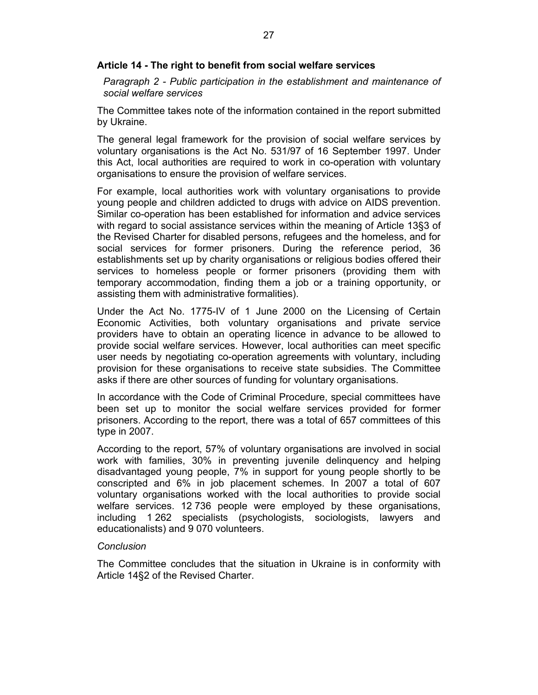## **Article 14 - The right to benefit from social welfare services**

*Paragraph 2 - Public participation in the establishment and maintenance of social welfare services* 

The Committee takes note of the information contained in the report submitted by Ukraine.

The general legal framework for the provision of social welfare services by voluntary organisations is the Act No. 531/97 of 16 September 1997. Under this Act, local authorities are required to work in co-operation with voluntary organisations to ensure the provision of welfare services.

For example, local authorities work with voluntary organisations to provide young people and children addicted to drugs with advice on AIDS prevention. Similar co-operation has been established for information and advice services with regard to social assistance services within the meaning of Article 13§3 of the Revised Charter for disabled persons, refugees and the homeless, and for social services for former prisoners. During the reference period, 36 establishments set up by charity organisations or religious bodies offered their services to homeless people or former prisoners (providing them with temporary accommodation, finding them a job or a training opportunity, or assisting them with administrative formalities).

Under the Act No. 1775-IV of 1 June 2000 on the Licensing of Certain Economic Activities, both voluntary organisations and private service providers have to obtain an operating licence in advance to be allowed to provide social welfare services. However, local authorities can meet specific user needs by negotiating co-operation agreements with voluntary, including provision for these organisations to receive state subsidies. The Committee asks if there are other sources of funding for voluntary organisations.

In accordance with the Code of Criminal Procedure, special committees have been set up to monitor the social welfare services provided for former prisoners. According to the report, there was a total of 657 committees of this type in 2007.

According to the report, 57% of voluntary organisations are involved in social work with families, 30% in preventing juvenile delinquency and helping disadvantaged young people, 7% in support for young people shortly to be conscripted and 6% in job placement schemes. In 2007 a total of 607 voluntary organisations worked with the local authorities to provide social welfare services. 12 736 people were employed by these organisations, including 1 262 specialists (psychologists, sociologists, lawyers and educationalists) and 9 070 volunteers.

## *Conclusion*

The Committee concludes that the situation in Ukraine is in conformity with Article 14§2 of the Revised Charter.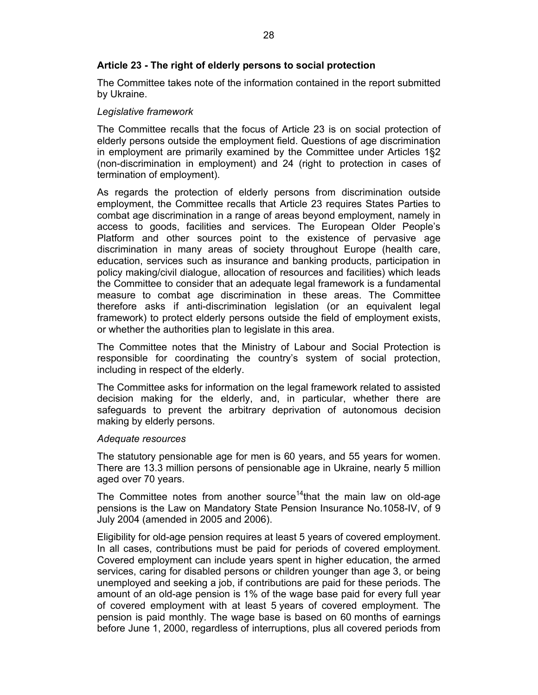# **Article 23 - The right of elderly persons to social protection**

The Committee takes note of the information contained in the report submitted by Ukraine.

## *Legislative framework*

The Committee recalls that the focus of Article 23 is on social protection of elderly persons outside the employment field. Questions of age discrimination in employment are primarily examined by the Committee under Articles 1§2 (non-discrimination in employment) and 24 (right to protection in cases of termination of employment).

As regards the protection of elderly persons from discrimination outside employment, the Committee recalls that Article 23 requires States Parties to combat age discrimination in a range of areas beyond employment, namely in access to goods, facilities and services. The European Older People's Platform and other sources point to the existence of pervasive age discrimination in many areas of society throughout Europe (health care, education, services such as insurance and banking products, participation in policy making/civil dialogue, allocation of resources and facilities) which leads the Committee to consider that an adequate legal framework is a fundamental measure to combat age discrimination in these areas. The Committee therefore asks if anti-discrimination legislation (or an equivalent legal framework) to protect elderly persons outside the field of employment exists, or whether the authorities plan to legislate in this area.

The Committee notes that the Ministry of Labour and Social Protection is responsible for coordinating the country's system of social protection, including in respect of the elderly.

The Committee asks for information on the legal framework related to assisted decision making for the elderly, and, in particular, whether there are safeguards to prevent the arbitrary deprivation of autonomous decision making by elderly persons.

## *Adequate resources*

The statutory pensionable age for men is 60 years, and 55 years for women. There are 13.3 million persons of pensionable age in Ukraine, nearly 5 million aged over 70 years.

The Committee notes from another source<sup>14</sup>that the main law on old-age pensions is the Law on Mandatory State Pension Insurance No.1058-IV, of 9 July 2004 (amended in 2005 and 2006).

Eligibility for old-age pension requires at least 5 years of covered employment. In all cases, contributions must be paid for periods of covered employment. Covered employment can include years spent in higher education, the armed services, caring for disabled persons or children younger than age 3, or being unemployed and seeking a job, if contributions are paid for these periods. The amount of an old-age pension is 1% of the wage base paid for every full year of covered employment with at least 5 years of covered employment. The pension is paid monthly. The wage base is based on 60 months of earnings before June 1, 2000, regardless of interruptions, plus all covered periods from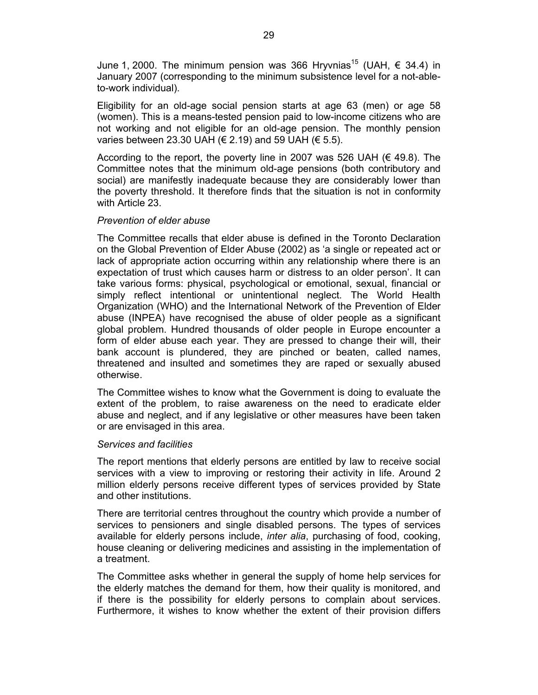June 1, 2000. The minimum pension was 366 Hryvnias<sup>15</sup> (UAH,  $\epsilon$  34.4) in January 2007 (corresponding to the minimum subsistence level for a not-ableto-work individual).

Eligibility for an old-age social pension starts at age 63 (men) or age 58 (women). This is a means-tested pension paid to low-income citizens who are not working and not eligible for an old-age pension. The monthly pension varies between 23.30 UAH (€ 2.19) and 59 UAH (€ 5.5).

According to the report, the poverty line in 2007 was 526 UAH ( $\in$  49.8). The Committee notes that the minimum old-age pensions (both contributory and social) are manifestly inadequate because they are considerably lower than the poverty threshold. It therefore finds that the situation is not in conformity with Article 23.

## *Prevention of elder abuse*

The Committee recalls that elder abuse is defined in the Toronto Declaration on the Global Prevention of Elder Abuse (2002) as 'a single or repeated act or lack of appropriate action occurring within any relationship where there is an expectation of trust which causes harm or distress to an older person'. It can take various forms: physical, psychological or emotional, sexual, financial or simply reflect intentional or unintentional neglect. The World Health Organization (WHO) and the International Network of the Prevention of Elder abuse (INPEA) have recognised the abuse of older people as a significant global problem. Hundred thousands of older people in Europe encounter a form of elder abuse each year. They are pressed to change their will, their bank account is plundered, they are pinched or beaten, called names, threatened and insulted and sometimes they are raped or sexually abused otherwise.

The Committee wishes to know what the Government is doing to evaluate the extent of the problem, to raise awareness on the need to eradicate elder abuse and neglect, and if any legislative or other measures have been taken or are envisaged in this area.

## *Services and facilities*

The report mentions that elderly persons are entitled by law to receive social services with a view to improving or restoring their activity in life. Around 2 million elderly persons receive different types of services provided by State and other institutions.

There are territorial centres throughout the country which provide a number of services to pensioners and single disabled persons. The types of services available for elderly persons include, *inter alia*, purchasing of food, cooking, house cleaning or delivering medicines and assisting in the implementation of a treatment.

The Committee asks whether in general the supply of home help services for the elderly matches the demand for them, how their quality is monitored, and if there is the possibility for elderly persons to complain about services. Furthermore, it wishes to know whether the extent of their provision differs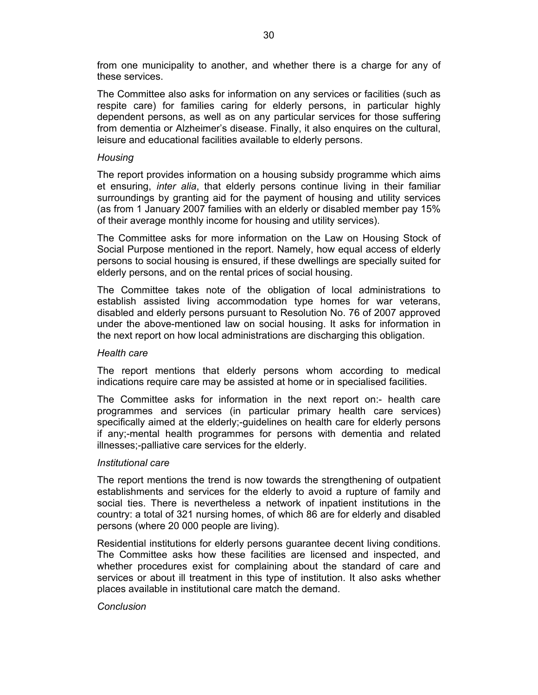from one municipality to another, and whether there is a charge for any of these services.

The Committee also asks for information on any services or facilities (such as respite care) for families caring for elderly persons, in particular highly dependent persons, as well as on any particular services for those suffering from dementia or Alzheimer's disease. Finally, it also enquires on the cultural, leisure and educational facilities available to elderly persons.

# *Housing*

The report provides information on a housing subsidy programme which aims et ensuring, *inter alia*, that elderly persons continue living in their familiar surroundings by granting aid for the payment of housing and utility services (as from 1 January 2007 families with an elderly or disabled member pay 15% of their average monthly income for housing and utility services).

The Committee asks for more information on the Law on Housing Stock of Social Purpose mentioned in the report. Namely, how equal access of elderly persons to social housing is ensured, if these dwellings are specially suited for elderly persons, and on the rental prices of social housing.

The Committee takes note of the obligation of local administrations to establish assisted living accommodation type homes for war veterans, disabled and elderly persons pursuant to Resolution No. 76 of 2007 approved under the above-mentioned law on social housing. It asks for information in the next report on how local administrations are discharging this obligation.

## *Health care*

The report mentions that elderly persons whom according to medical indications require care may be assisted at home or in specialised facilities.

The Committee asks for information in the next report on:- health care programmes and services (in particular primary health care services) specifically aimed at the elderly;-guidelines on health care for elderly persons if any;-mental health programmes for persons with dementia and related illnesses;-palliative care services for the elderly.

## *Institutional care*

The report mentions the trend is now towards the strengthening of outpatient establishments and services for the elderly to avoid a rupture of family and social ties. There is nevertheless a network of inpatient institutions in the country: a total of 321 nursing homes, of which 86 are for elderly and disabled persons (where 20 000 people are living).

Residential institutions for elderly persons guarantee decent living conditions. The Committee asks how these facilities are licensed and inspected, and whether procedures exist for complaining about the standard of care and services or about ill treatment in this type of institution. It also asks whether places available in institutional care match the demand.

# *Conclusion*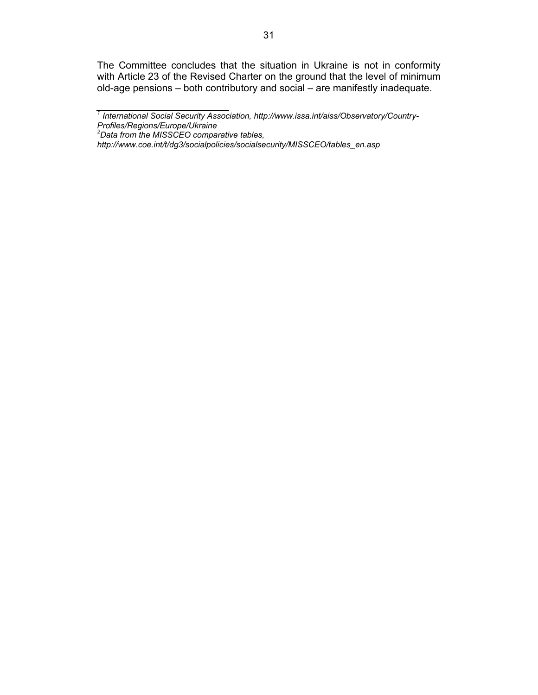The Committee concludes that the situation in Ukraine is not in conformity with Article 23 of the Revised Charter on the ground that the level of minimum old-age pensions – both contributory and social – are manifestly inadequate.

*\_\_\_\_\_\_\_\_\_\_\_\_\_\_\_\_\_\_\_\_\_\_\_\_ 1 International Social Security Association, http://www.issa.int/aiss/Observatory/Country-*

*Profiles/Regions/Europe/Ukraine 2 Data from the MISSCEO comparative tables,* 

*http://www.coe.int/t/dg3/socialpolicies/socialsecurity/MISSCEO/tables\_en.asp*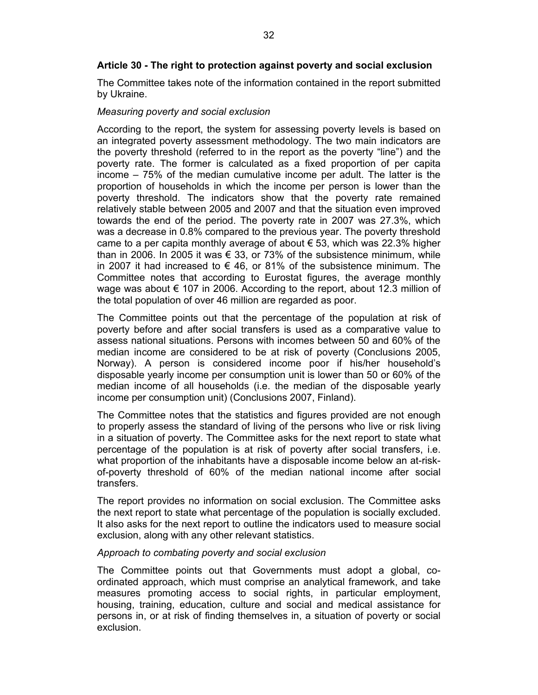The Committee takes note of the information contained in the report submitted by Ukraine.

# *Measuring poverty and social exclusion*

According to the report, the system for assessing poverty levels is based on an integrated poverty assessment methodology. The two main indicators are the poverty threshold (referred to in the report as the poverty "line") and the poverty rate. The former is calculated as a fixed proportion of per capita income – 75% of the median cumulative income per adult. The latter is the proportion of households in which the income per person is lower than the poverty threshold. The indicators show that the poverty rate remained relatively stable between 2005 and 2007 and that the situation even improved towards the end of the period. The poverty rate in 2007 was 27.3%, which was a decrease in 0.8% compared to the previous year. The poverty threshold came to a per capita monthly average of about  $\epsilon$  53, which was 22.3% higher than in 2006. In 2005 it was  $\epsilon$  33, or 73% of the subsistence minimum, while in 2007 it had increased to  $\epsilon$  46, or 81% of the subsistence minimum. The Committee notes that according to Eurostat figures, the average monthly wage was about  $\epsilon$  107 in 2006. According to the report, about 12.3 million of the total population of over 46 million are regarded as poor.

The Committee points out that the percentage of the population at risk of poverty before and after social transfers is used as a comparative value to assess national situations. Persons with incomes between 50 and 60% of the median income are considered to be at risk of poverty (Conclusions 2005, Norway). A person is considered income poor if his/her household's disposable yearly income per consumption unit is lower than 50 or 60% of the median income of all households (i.e. the median of the disposable yearly income per consumption unit) (Conclusions 2007, Finland).

The Committee notes that the statistics and figures provided are not enough to properly assess the standard of living of the persons who live or risk living in a situation of poverty. The Committee asks for the next report to state what percentage of the population is at risk of poverty after social transfers, i.e. what proportion of the inhabitants have a disposable income below an at-riskof-poverty threshold of 60% of the median national income after social transfers.

The report provides no information on social exclusion. The Committee asks the next report to state what percentage of the population is socially excluded. It also asks for the next report to outline the indicators used to measure social exclusion, along with any other relevant statistics.

# *Approach to combating poverty and social exclusion*

The Committee points out that Governments must adopt a global, coordinated approach, which must comprise an analytical framework, and take measures promoting access to social rights, in particular employment, housing, training, education, culture and social and medical assistance for persons in, or at risk of finding themselves in, a situation of poverty or social exclusion.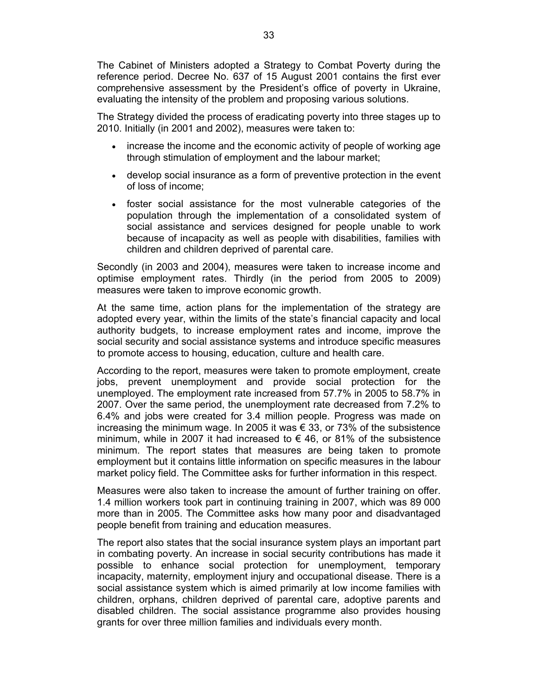The Cabinet of Ministers adopted a Strategy to Combat Poverty during the reference period. Decree No. 637 of 15 August 2001 contains the first ever comprehensive assessment by the President's office of poverty in Ukraine, evaluating the intensity of the problem and proposing various solutions.

The Strategy divided the process of eradicating poverty into three stages up to 2010. Initially (in 2001 and 2002), measures were taken to:

- increase the income and the economic activity of people of working age through stimulation of employment and the labour market;
- develop social insurance as a form of preventive protection in the event of loss of income;
- foster social assistance for the most vulnerable categories of the population through the implementation of a consolidated system of social assistance and services designed for people unable to work because of incapacity as well as people with disabilities, families with children and children deprived of parental care.

Secondly (in 2003 and 2004), measures were taken to increase income and optimise employment rates. Thirdly (in the period from 2005 to 2009) measures were taken to improve economic growth.

At the same time, action plans for the implementation of the strategy are adopted every year, within the limits of the state's financial capacity and local authority budgets, to increase employment rates and income, improve the social security and social assistance systems and introduce specific measures to promote access to housing, education, culture and health care.

According to the report, measures were taken to promote employment, create jobs, prevent unemployment and provide social protection for the unemployed. The employment rate increased from 57.7% in 2005 to 58.7% in 2007. Over the same period, the unemployment rate decreased from 7.2% to 6.4% and jobs were created for 3.4 million people. Progress was made on increasing the minimum wage. In 2005 it was  $\epsilon$  33, or 73% of the subsistence minimum, while in 2007 it had increased to  $\epsilon$  46, or 81% of the subsistence minimum. The report states that measures are being taken to promote employment but it contains little information on specific measures in the labour market policy field. The Committee asks for further information in this respect.

Measures were also taken to increase the amount of further training on offer. 1.4 million workers took part in continuing training in 2007, which was 89 000 more than in 2005. The Committee asks how many poor and disadvantaged people benefit from training and education measures.

The report also states that the social insurance system plays an important part in combating poverty. An increase in social security contributions has made it possible to enhance social protection for unemployment, temporary incapacity, maternity, employment injury and occupational disease. There is a social assistance system which is aimed primarily at low income families with children, orphans, children deprived of parental care, adoptive parents and disabled children. The social assistance programme also provides housing grants for over three million families and individuals every month.